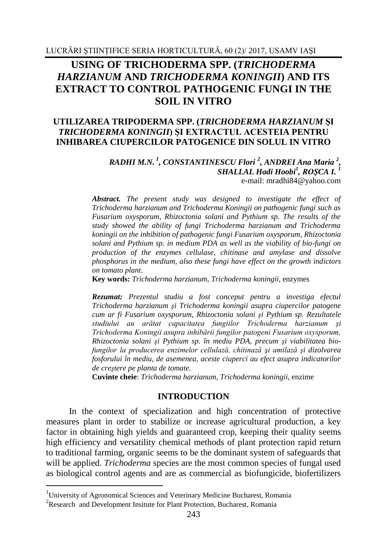# **USING OF TRICHODERMA SPP. (***TRICHODERMA HARZIANUM* **AND** *TRICHODERMA KONINGII***) AND ITS EXTRACT TO CONTROL PATHOGENIC FUNGI IN THE SOIL IN VITRO**

### **UTILIZAREA TRIPODERMA SPP. (***TRICHODERMA HARZIANUM* **ŞI**  *TRICHODERMA KONINGII***) ŞI EXTRACTUL ACESTEIA PENTRU INHIBAREA CIUPERCILOR PATOGENICE DIN SOLUL IN VITRO**

#### *RADHI M.N. 1 , CONSTANTINESCU Flori <sup>2</sup> , ANDREI Ana Maria <sup>2</sup> , SHALLAL Hadi Hoobi<sup>1</sup> , ROŞCA I. 1* e-mail: mradhi84@yahoo.com

*Abstract. The present study was designed to investigate the effect of Trichoderma harzianum and Trichoderma Koningii on pathogenic fungi such as Fusarium oxysporum, Rhizoctonia solani and Pythium sp. The results of the study showed the ability of fungi Trichoderma harzianum and Trichoderma koningii on the inhibition of pathogenic fungi Fusarium oxysporum, Rhizoctonia solani and Pythium sp. in medium PDA as well as the viability of bio-fungi on production of the enzymes cellulase, chitinase and amylase and dissolve phosphorus in the medium, also these fungi have effect on the growth indictors on tomato plant.*

**Key words:** *Trichoderma harzianum, Trichoderma koningii*, enzymes

*Rezumat: Prezentul studiu a fost conceput pentru a investiga efectul Trichoderma harzianum şi Trichoderma koningii asupra ciupercilor patogene cum ar fi Fusarium oxysporum, Rhizoctonia solani şi Pythium sp. Rezultatele studiului au arătat capacitatea fungiilor Trichoderma harzianum şi Trichoderma Koningii asupra inhibării fungilor patogeni Fusarium oxysporum, Rhizoctonia solani şi Pythium sp. în mediu PDA, precum şi viabilitatea biofungilor la producerea enzimelor cellulază, chitinază şi amilază şi dizolvarea fosforului în mediu, de asemenea, aceste ciuperci au efect asupra indicatorilor de creştere pe planta de tomate.*

**Cuvinte cheie**: *Trichoderma harzianum, Trichoderma koningii*, enzime

#### **INTRODUCTION**

In the context of specialization and high concentration of protective measures plant in order to stabilize or increase agricultural production, a key factor in obtaining high yields and guaranteed crop, keeping their quality seems high efficiency and versatility chemical methods of plant protection rapid return to traditional farming, organic seems to be the dominant system of safeguards that will be applied. *Trichoderma* species are the most common species of fungal used as biological control agents and are as commercial as biofungicide, biofertilizers

1

<sup>1</sup>University of Agronomical Sciences and Veterinary Medicine Bucharest, Romania

<sup>&</sup>lt;sup>2</sup>Research and Development [Insitute for Plant Protection, Bucharest,](http://scholar.google.ro/scholar?q=Development+and+research+for+Plant+Protection+Bucharest&hl=en&as_sdt=0&as_vis=1&oi=scholart&sa=X&ved=0ahUKEwicl_Gu5OvWAhWFDpoKHVb7BTYQgQMIJTAA) Romania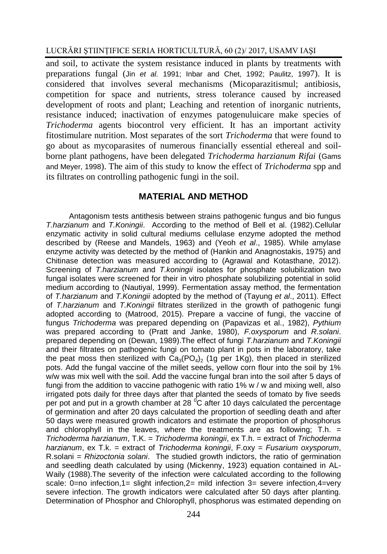and soil, to activate the system resistance induced in plants by treatments with preparations fungal (Jin *et al.* 1991; Inbar and Chet, 1992; Paulitz, 1997). It is considered that involves several mechanisms (Micoparazitismul; antibiosis, competition for space and nutrients, stress tolerance caused by increased development of roots and plant; Leaching and retention of inorganic nutrients, resistance induced; inactivation of enzymes patogenuluicare make species of *Trichoderma* agents biocontrol very efficient. It has an important activity fitostimulare nutrition. Most separates of the sort *Trichoderma* that were found to go about as mycoparasites of numerous financially essential ethereal and soilborne plant pathogens, have been delegated *Trichoderma harzianum Rifai* (Gams and Meyer, 1998). The aim of this study to know the effect of *Trichoderma* spp and its filtrates on controlling pathogenic fungi in the soil.

### **MATERIAL AND METHOD**

Antagonism tests antithesis between strains pathogenic fungus and bio fungus *T.harzianum* and *T.Koningii*. According to the method of Bell et al. (1982).Cellular enzymatic activity in solid cultural mediums cellulase enzyme adopted the method described by (Reese and Mandels, 1963) and (Yeoh *et al*., 1985). While amylase enzyme activity was detected by the method of (Hankin and Anagnostakis, 1975) and Chitinase detection was measured according to (Agrawal and Kotasthane, 2012). Screening of *T.harzianum* and *T.koningii* isolates for phosphate solubilization two fungal isolates were screened for their in vitro phosphate solubilizing potential in solid medium according to (Nautiyal, 1999). Fermentation assay method, the fermentation of *T.harzianum* and *T.Koningii* adopted by the method of (Tayung *et al*., 2011). Effect of *T.harzianum* and *T.Koningii* filtrates sterilized in the growth of pathogenic fungi adopted according to (Matrood, 2015). Prepare a vaccine of fungi, the vaccine of fungus *Trichoderma* was prepared depending on (Papavizas et al., 1982), *Pythium* was prepared according to (Pratt and Janke, 1980), *F.oxysporum* and *R.solani*. prepared depending on (Dewan, 1989).The effect of fungi *T.harzianum* and *T.Koningii* and their filtrates on pathogenic fungi on tomato plant in pots in the laboratory, take the peat moss then sterilized with  $Ca_3(PO_4)$ , (1g per 1Kg), then placed in sterilized pots. Add the fungal vaccine of the millet seeds, yellow corn flour into the soil by 1% w/w was mix well with the soil. Add the vaccine fungal bran into the soil after 5 days of fungi from the addition to vaccine pathogenic with ratio 1% w / w and mixing well, also irrigated pots daily for three days after that planted the seeds of tomato by five seeds per pot and put in a growth chamber at 28 <sup>o</sup>C after 10 days calculated the percentage of germination and after 20 days calculated the proportion of seedling death and after 50 days were measured growth indicators and estimate the proportion of phosphorus and chlorophyll in the leaves, where the treatments are as following:  $T.h. =$ *Trichoderma harzianum*, T.K. = *Trichoderma koningii*, ex T.h. = extract of *Trichoderma harzianum*, ex T.k. = extract of *Trichoderma koningii*, F.oxy = *Fusarium oxysporum*, R.solani = *Rhizoctonia solani*. The studied growth indictors, the ratio of germination and seedling death calculated by using (Mickenny, 1923) equation contained in AL-Waily (1988).The severity of the infection were calculated according to the following scale: 0=no infection,1= slight infection,2= mild infection 3= severe infection,4=very severe infection. The growth indicators were calculated after 50 days after planting. Determination of Phosphor and Chlorophyll, phosphorus was estimated depending on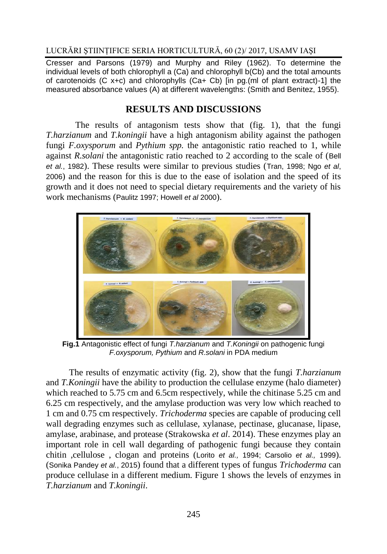Cresser and Parsons (1979) and Murphy and Riley (1962). To determine the individual levels of both chlorophyll a (Ca) and chlorophyll b(Cb) and the total amounts of carotenoids (C x+c) and chlorophylls (Ca+ Cb) [in pg.(ml of plant extract)-1] the measured absorbance values (A) at different wavelengths: (Smith and Benitez, 1955).

# **RESULTS AND DISCUSSIONS**

The results of antagonism tests show that (fig. 1), that the fungi *T.harzianum* and *T.koningii* have a high antagonism ability against the pathogen fungi *F.oxysporum* and *Pythium spp.* the antagonistic ratio reached to 1, while against *R.solani* the antagonistic ratio reached to 2 according to the scale of (Bell *et al.*, 1982). These results were similar to previous studies (Tran, 1998; Ngo *et al*, 2006) and the reason for this is due to the ease of isolation and the speed of its growth and it does not need to special dietary requirements and the variety of his work mechanisms (Paulitz 1997; Howell *et al* 2000).



**Fig.1** Antagonistic effect of fungi *T.harzianum* and *T.Koningii* on pathogenic fungi *F.oxysporum, Pythium* and *R.solani* in PDA medium

The results of enzymatic activity (fig. 2), show that the fungi *T.harzianum* and *T.Koningii* have the ability to production the cellulase enzyme (halo diameter) which reached to 5.75 cm and 6.5cm respectively, while the chitinase 5.25 cm and 6.25 cm respectively, and the amylase production was very low which reached to 1 cm and 0.75 cm respectively. *Trichoderma* species are capable of producing cell wall degrading enzymes such as cellulase, xylanase, pectinase, glucanase, lipase, amylase, arabinase, and protease (Strakowska *et al*. 2014). These enzymes play an important role in cell wall degarding of pathogenic fungi because they contain chitin ,cellulose , clogan and proteins (Lorito *et al.,* 1994; Carsolio *et al.,* 1999). (Sonika Pandey *et al.*, 2015) found that a different types of fungus *Trichoderma* can produce cellulase in a different medium. Figure 1 shows the levels of enzymes in *T.harzianum* and *T.koningii*.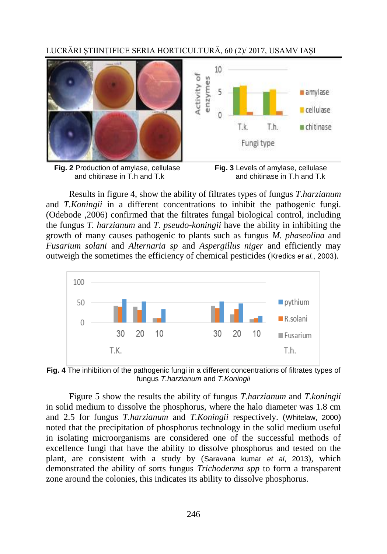LUCRĂRI ŞTIINŢIFICE SERIA HORTICULTURĂ, 60 (2)/ 2017, USAMV IAŞI



**Fig. 2** Production of amylase, cellulase **Fig. 3** Levels of amylase, cellulase and chitinase in T h and T k and Chitinase in T h and T k and chitinase in  $\overline{T}$  h and  $\overline{T}$  k



Results in figure 4, show the ability of filtrates types of fungus *T.harzianum* and *T.Koningii* in a different concentrations to inhibit the pathogenic fungi. (Odebode ,2006) confirmed that the filtrates fungal biological control, including the fungus *T. harzianum* and *T. pseudo-koningii* have the ability in inhibiting the growth of many causes pathogenic to plants such as fungus *M. phaseolina* and *Fusarium solani* and *Alternaria sp* and *Aspergillus niger* and efficiently may outweigh the sometimes the efficiency of chemical pesticides (Kredics *et al.*, 2003).



**Fig. 4** The inhibition of the pathogenic fungi in a different concentrations of filtrates types of fungus *T.harzianum* and *T.Koningii*

Figure 5 show the results the ability of fungus *T.harzianum* and *T.koningii*  in solid medium to dissolve the phosphorus, where the halo diameter was 1.8 cm and 2.5 for fungus *T.harzianum* and *T.Koningii* respectively. (Whitelaw, 2000) noted that the precipitation of phosphorus technology in the solid medium useful in isolating microorganisms are considered one of the successful methods of excellence fungi that have the ability to dissolve phosphorus and tested on the plant, are consistent with a study by (Saravana kumar *et al*, 2013), which demonstrated the ability of sorts fungus *Trichoderma spp* to form a transparent zone around the colonies, this indicates its ability to dissolve phosphorus.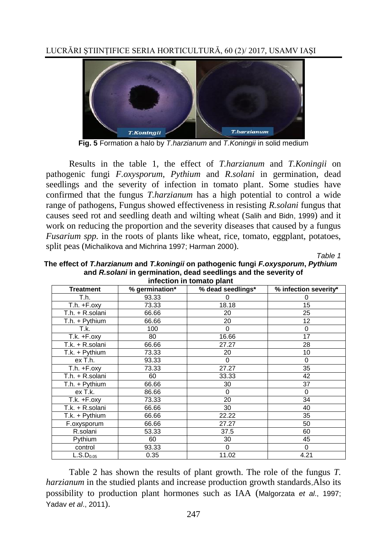

**Fig. 5** Formation a halo by *T.harzianum* and *T.Koningii* in solid medium

Results in the table 1, the effect of *T.harzianum* and *T.Koningii* on pathogenic fungi *F.oxysporum*, *Pythium* and *R.solani* in germination, dead seedlings and the severity of infection in tomato plant. Some studies have confirmed that the fungus *T.harzianum* has a high potential to control a wide range of pathogens, Fungus showed effectiveness in resisting *R.solani* fungus that causes seed rot and seedling death and wilting wheat (Salih and Bidn, 1999) and it work on reducing the proportion and the severity diseases that caused by a fungus *Fusarium spp.* in the roots of plants like wheat, rice, tomato, eggplant, potatoes, split peas (Michalikova and Michrina 1997; Harman 2000).

*Table 1*

| he effect of <i>T.harzianum</i> and <i>T.koningii</i> on pathogenic fungi <i>F.oxysporum</i> , <i>Pythium</i><br>and R.solani in germination, dead seedlings and the severity of<br>infection in tomato plant |       |          |          |  |  |  |  |  |  |  |  |
|---------------------------------------------------------------------------------------------------------------------------------------------------------------------------------------------------------------|-------|----------|----------|--|--|--|--|--|--|--|--|
| % germination*<br>% dead seedlings*<br>% infection severity*<br><b>Treatment</b>                                                                                                                              |       |          |          |  |  |  |  |  |  |  |  |
| T.h.                                                                                                                                                                                                          | 93.33 | 0        | 0        |  |  |  |  |  |  |  |  |
| $T.h. +F.$ oxy                                                                                                                                                                                                | 73.33 | 18.18    | 15       |  |  |  |  |  |  |  |  |
| T.h. + R.solani                                                                                                                                                                                               | 66.66 | 20       | 25       |  |  |  |  |  |  |  |  |
| T.h. + Pythium                                                                                                                                                                                                | 66.66 | 20       | 12       |  |  |  |  |  |  |  |  |
| T.k.                                                                                                                                                                                                          | 100   | 0        | 0        |  |  |  |  |  |  |  |  |
| T.k. +F.oxy                                                                                                                                                                                                   | 80    | 16.66    | 17       |  |  |  |  |  |  |  |  |
| T.k. + R.solani                                                                                                                                                                                               | 66.66 | 27.27    | 28       |  |  |  |  |  |  |  |  |
| T.k. + Pythium                                                                                                                                                                                                | 73.33 | 20       | 10       |  |  |  |  |  |  |  |  |
| ex T.h.                                                                                                                                                                                                       | 93.33 | $\Omega$ | $\Omega$ |  |  |  |  |  |  |  |  |
| $T.h. +F.$ oxy                                                                                                                                                                                                | 73.33 | 27.27    | 35       |  |  |  |  |  |  |  |  |
| T.h. + R.solani                                                                                                                                                                                               | 60    | 33.33    | 42       |  |  |  |  |  |  |  |  |
| T.h. + Pythium                                                                                                                                                                                                | 66.66 | 30       | 37       |  |  |  |  |  |  |  |  |
| ex T.k.                                                                                                                                                                                                       | 86.66 | $\Omega$ | $\Omega$ |  |  |  |  |  |  |  |  |
| $T.k. +F.$ oxy                                                                                                                                                                                                | 73.33 | 20       | 34       |  |  |  |  |  |  |  |  |
| T.k. + R.solani                                                                                                                                                                                               | 66.66 | 30       | 40       |  |  |  |  |  |  |  |  |
| T.k. + Pythium                                                                                                                                                                                                | 66.66 | 22.22    | 35       |  |  |  |  |  |  |  |  |
| F.oxysporum                                                                                                                                                                                                   | 66.66 | 27.27    | 50       |  |  |  |  |  |  |  |  |
| R.solani                                                                                                                                                                                                      | 53.33 | 37.5     | 60       |  |  |  |  |  |  |  |  |
| Pythium                                                                                                                                                                                                       | 60    | 30       | 45       |  |  |  |  |  |  |  |  |
| control                                                                                                                                                                                                       | 93.33 | $\Omega$ | $\Omega$ |  |  |  |  |  |  |  |  |
| $\overline{\mathsf{L}}$ .S.D <sub>0.05</sub>                                                                                                                                                                  | 0.35  | 11.02    | 4.21     |  |  |  |  |  |  |  |  |

**The effect of** *T.harzianum* **and** *T.koningii* **on pathogenic fungi** *F.oxysporum***,** *Pythium*

Table 2 has shown the results of plant growth. The role of the fungus *T. harzianum* in the studied plants and increase production growth standards Also its possibility to production plant hormones such as IAA (Malgorzata *et al*., 1997; Yadav *et al*., 2011).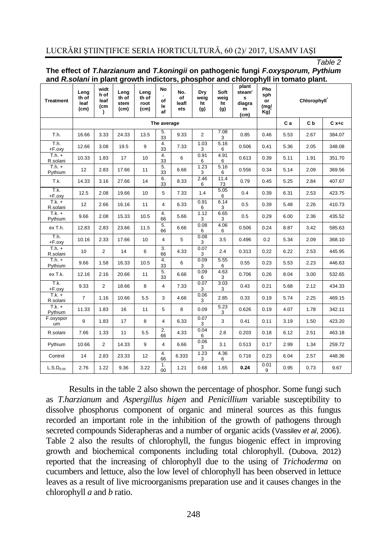#### *Table 2*

| and Assorant in plant growth multiture, phosphor and chiorophyli in tomato plant. |                               |                                          |                               |                               |                       |                           |                          |                           |                                                          |                                 |             |           |        |  |
|-----------------------------------------------------------------------------------|-------------------------------|------------------------------------------|-------------------------------|-------------------------------|-----------------------|---------------------------|--------------------------|---------------------------|----------------------------------------------------------|---------------------------------|-------------|-----------|--------|--|
| Treatment                                                                         | Leng<br>th of<br>leaf<br>(cm) | widt<br>h of<br>leaf<br>(cm<br>$\lambda$ | Leng<br>th of<br>stem<br>(cm) | Leng<br>th of<br>root<br>(cm) | No<br>of<br>le<br>af  | No.<br>of<br>leafl<br>ets | Dry<br>weig<br>ht<br>(g) | Soft<br>weig<br>ht<br>(g) | plant<br>steam'<br>s<br>diagra<br>m<br>(c <sub>m</sub> ) | Pho<br>sph<br>or<br>(mg/<br>Kg) | Chlorophyll |           |        |  |
|                                                                                   | The average                   |                                          |                               |                               |                       |                           |                          |                           |                                                          | Ca                              | C b         | $C x + c$ |        |  |
| T.h.                                                                              | 16.66                         | 3.33                                     | 24.33                         | 13.5                          | 5.<br>33              | 9.33                      | $\overline{2}$           | 7.08<br>3                 | 0.85                                                     | 0.46                            | 5.53        | 2.67      | 384.07 |  |
| T.h.<br>+F.oxy                                                                    | 12.66                         | 3.08                                     | 19.5                          | 9                             | 4.<br>33              | 7.33                      | 1.03<br>3                | 5.16<br>6                 | 0.506                                                    | 0.41                            | 5.36        | 2.05      | 348.08 |  |
| $T.h. +$<br>R.solani                                                              | 10.33                         | 1.83                                     | 17                            | 10                            | 4.<br>33              | 6                         | 0.91<br>6                | 4.91<br>6                 | 0.613                                                    | 0.39                            | 5.11        | 1.91      | 351.70 |  |
| $T.h. +$<br>Pythium                                                               | 12                            | 2.83                                     | 17.66                         | 11                            | 5.<br>33              | 6.66                      | 1.23<br>3                | 5.16<br>6                 | 0.556                                                    | 0.34                            | 5.14        | 2.09      | 369.56 |  |
| T.k.                                                                              | 14.33                         | 3.16                                     | 27.66                         | 14                            | 6.<br>33              | 8.33                      | 2.46<br>6                | 11.4<br>73                | 0.79                                                     | 0.45                            | 5.25        | 2.84      | 407.67 |  |
| T.k.<br>+F.oxy                                                                    | 12.5                          | 2.08                                     | 19.66                         | 10                            | 5                     | 7.33                      | 1.4                      | 5.05<br>6                 | 0.4                                                      | 0.39                            | 6.31        | 2.53      | 423.75 |  |
| $T.k. +$<br>R.solani                                                              | 12                            | 2.66                                     | 16.16                         | 11                            | $\overline{4}$        | 6.33                      | 0.91<br>6                | 6.14<br>3                 | 0.5                                                      | 0.39                            | 5.48        | 2.26      | 410.73 |  |
| $T.k. +$<br>Pythium                                                               | 9.66                          | 2.08                                     | 15.33                         | 10.5                          | 4.<br>66              | 5.66                      | 1.12<br>3                | 6.65<br>3                 | 0.5                                                      | 0.29                            | 6.00        | 2.36      | 435.52 |  |
| ex T.h.                                                                           | 12.83                         | 2.83                                     | 23.66                         | 11.5                          | 5.<br>66              | 6.66                      | 0.08<br>6                | 4.06<br>6                 | 0.506                                                    | 0.24                            | 8.87        | 3.42      | 585.63 |  |
| T.h.<br>+F.oxy                                                                    | 10.16                         | 2.33                                     | 17.66                         | 10                            | 4                     | 5                         | 0.08<br>3                | 3.5                       | 0.496                                                    | 0.2                             | 5.34        | 2.09      | 368.10 |  |
| $T.h. +$<br>R.solani                                                              | 10                            | $\overline{2}$                           | 14                            | 6                             | 3.<br>66              | 4.33                      | 0.07<br>3                | 2.4                       | 0.313                                                    | 0.22                            | 6.22        | 2.53      | 445.95 |  |
| $T.h. +$<br>Pythium                                                               | 9.66                          | 1.58                                     | 16.33                         | 10.5                          | 4.<br>33              | 6                         | 0.09<br>3                | 5.55<br>6                 | 0.55                                                     | 0.23                            | 5.53        | 2.23      | 446.63 |  |
| ex T.k.                                                                           | 12.16                         | 2.16                                     | 20.66                         | 11                            | 5.<br>33              | 6.66                      | 0.09<br>6                | 4.63<br>3                 | 0.706                                                    | 0.26                            | 8.04        | 3.00      | 532.65 |  |
| T.k.<br>+F.oxy                                                                    | 9.33                          | $\overline{2}$                           | 18.66                         | 8                             | $\overline{4}$        | 7.33                      | 0.07<br>3                | 3.03<br>3                 | 0.43                                                     | 0.21                            | 5.68        | 2.12      | 434.33 |  |
| $T.k. +$<br>R.solani                                                              | $\overline{7}$                | 1.16                                     | 10.66                         | 5.5                           | 3                     | 4.66                      | 0.06<br>3                | 2.85                      | 0.33                                                     | 0.19                            | 5.74        | 2.25      | 469.15 |  |
| $T.k. +$<br>Pythium                                                               | 11.33                         | 1.83                                     | 16                            | 11                            | 5                     | 8                         | 0.09                     | 5.23<br>3                 | 0.626                                                    | 0.19                            | 4.07        | 1.78      | 342.11 |  |
| F.oxyspor<br>um                                                                   | 9                             | 1.83                                     | 17                            | 8                             | 4                     | 6.33                      | 0.07<br>3                | 3                         | 0.41                                                     | 0.11                            | 3.19        | 1.50      | 423.20 |  |
| R.solani                                                                          | 7.66                          | 1.33                                     | 11                            | 5.5                           | 2.<br>66              | 4.33                      | 0.04<br>6                | 2.8                       | 0.203                                                    | 0.18                            | 6.12        | 2.51      | 463.18 |  |
| Pythium                                                                           | 10.66                         | $\overline{2}$                           | 14.33                         | 9                             | 4                     | 6.66                      | 0.06<br>3                | 3.1                       | 0.513                                                    | 0.17                            | 2.99        | 1.34      | 259.72 |  |
| Control                                                                           | 14                            | 2.83                                     | 23.33                         | 12                            | 4.<br>66              | 6.333                     | 1.23<br>3                | 4.36<br>6                 | 0.716                                                    | 0.23                            | 6.04        | 2.57      | 448.36 |  |
| L.S.D <sub>0.05</sub>                                                             | 2.76                          | 1.22                                     | 9.36                          | 3.22                          | 1.<br>00 <sup>1</sup> | 1.21                      | 0.68                     | 1.65                      | 0.24                                                     | 0.01<br>9                       | 0.95        | 0.73      | 9.67   |  |

#### **The effect of** *T.harzianum* **and** *T.koningii* **on pathogenic fungi** *F.oxysporum, Pythium* **and** *R.solani* **in plant growth indictors, phosphor and chlorophyll in tomato plant.**

Results in the table 2 also shown the percentage of phosphor. Some fungi such as *T.harzianum* and *Aspergillus higen* and *Penicillium* variable susceptibility to dissolve phosphorus component of organic and mineral sources as this fungus recorded an important role in the inhibition of the growth of pathogens through secreted compounds Siderapheras and a number of organic acids (Vassilev *et al*, 2006). Table 2 also the results of chlorophyll, the fungus biogenic effect in improving growth and biochemical components including total chlorophyll. (Dubova, 2012) reported that the increasing of chlorophyll due to the using of *Trichoderma* on cucumbers and lettuce, also the low level of chlorophyll has been observed in lettuce leaves as a result of live microorganisms preparation use and it causes changes in the chlorophyll *a* and *b* ratio.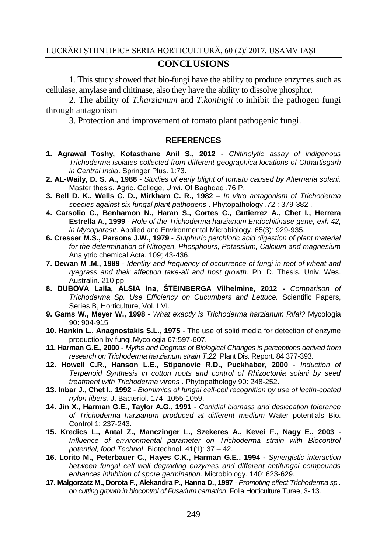## **CONCLUSIONS**

1. This study showed that bio-fungi have the ability to produce enzymes such as cellulase, amylase and chitinase, also they have the ability to dissolve phosphor.

2. The ability of *T.harzianum* and *T.koningii* to inhibit the pathogen fungi through antagonism

3. Protection and improvement of tomato plant pathogenic fungi.

#### **REFERENCES**

- **1. Agrawal Toshy, Kotasthane Anil S., 2012** *Chitinolytic assay of indigenous Trichoderma isolates collected from different geographica locations of Chhattisgarh in Central India*. Springer Plus. 1:73.
- **2. AL-Waily, D. S. A., 1988** *Studies of early blight of tomato caused by Alternaria solani.* Master thesis. Agric. College, Unvi. Of Baghdad .76 P.
- **3. Bell D. K., Wells C. D., Mirkham C. R., 1982** *In vitro antagonism of Trichoderma species against six fungal plant pathogens* . Phytopathology .72 : 379-382 .
- **4. Carsolio C., Benhamon N., Haran S., Cortes C., Gutierrez A., Chet I., Herrera Estrella A., 1999** - *Role of the Trichoderma harzianum Endochitinase gene, exh 42, in Mycoparasit*. Applied and Environmental Microbiology. 65(3): 929-935.
- **6. Cresser M.S., Parsons J.W., 1979** *Sulphuric perchloric acid digestion of plant material for the determination of Nitrogen, Phosphours, Potassium, Calcium and magnesium* Analytric chemical Acta. 109; 43-436.
- **7. Dewan M .M., 1989** *Identity and frequency of occurrence of fungi in root of wheat and ryegrass and their affection take-all and host growth*. Ph. D. Thesis. Univ. Wes. Australin. 210 pp.
- **8. DUBOVA Laila, ALSIA Ina, ŠTEINBERGA Vilhelmine, 2012 -** *Comparison of Trichoderma Sp. Use Efficiency on Cucumbers and Lettuce.* Scientific Papers, Series B, Horticulture, Vol. LVI.
- **9. Gams W., Meyer W., 1998** *What exactly is Trichoderma harzianum Rifai?* Mycologia 90: 904-915.
- **10. Hankin L., Anagnostakis S.L., 1975**  The use of solid media for detection of enzyme production by fungi.Mycologia 67:597-607.
- **11. Harman G.E., 2000** *Myths and Dogmas of Biological Changes is perceptions derived from research on Trichoderma harzianum strain T.22*. Plant Dis. Report. 84:377-393.
- **12. Howell C.R., Hanson L.E., Stipanovic R.D., Puckhaber, 2000** *Induction of Terpenoid Synthesis in cotton roots and control of Rhizoctonia solani by seed treatment with Trichoderma virens* . Phytopathology 90: 248-252.
- **13. Inbar J., Chet I., 1992**  *Biomimics of fungal cell-cell recognition by use of lectin-coated nylon fibers.* J. Bacteriol. 174: 1055-1059.
- **14. Jin X., Harman G.E., Taylor A.G., 1991** *Conidial biomass and desiccation tolerance of Trichoderma harzianum produced at different medium* Water potentials Bio. Control 1: 237-243.
- **15. Kredics L., Antal Z., Manczinger L., Szekeres A., Kevei F., Nagy E., 2003** *Influence of environmental parameter on Trichoderma strain with Biocontrol potential, food Technol*. Biotechnol. 41(1): 37 – 42.
- **16. Lorito M., Peterbauer C., Hayes C.K., Harman G.E., 1994 -** *Synergistic interaction between fungal cell wall degrading enzymes and different antifungal compounds enhances inhibition of spore germination*. Microbiology. 140: 623-629.
- **17. Malgorzatz M., Dorota F., Alekandra P., Hanna D., 1997** *Promoting effect Trichoderma sp . on cutting growth in biocontrol of Fusarium carnation*. Folia Horticulture Turae, 3- 13.